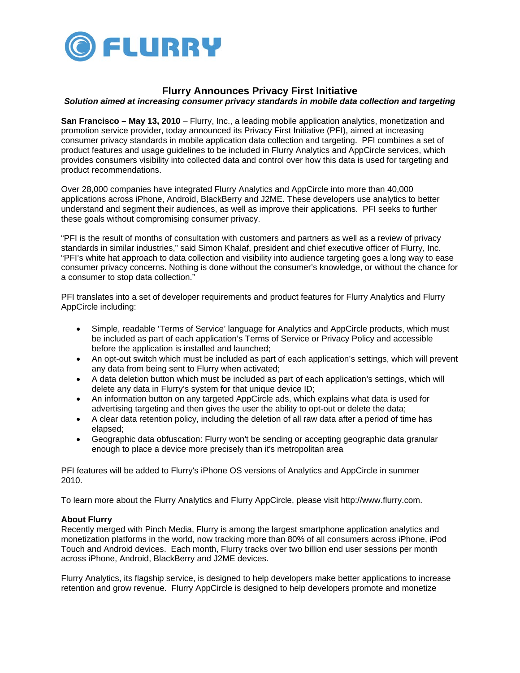

## **Flurry Announces Privacy First Initiative**

## *Solution aimed at increasing consumer privacy standards in mobile data collection and targeting*

**San Francisco – May 13, 2010** – Flurry, Inc., a leading mobile application analytics, monetization and promotion service provider, today announced its Privacy First Initiative (PFI), aimed at increasing consumer privacy standards in mobile application data collection and targeting. PFI combines a set of product features and usage guidelines to be included in Flurry Analytics and AppCircle services, which provides consumers visibility into collected data and control over how this data is used for targeting and product recommendations.

Over 28,000 companies have integrated Flurry Analytics and AppCircle into more than 40,000 applications across iPhone, Android, BlackBerry and J2ME. These developers use analytics to better understand and segment their audiences, as well as improve their applications. PFI seeks to further these goals without compromising consumer privacy.

"PFI is the result of months of consultation with customers and partners as well as a review of privacy standards in similar industries," said Simon Khalaf, president and chief executive officer of Flurry, Inc. "PFI's white hat approach to data collection and visibility into audience targeting goes a long way to ease consumer privacy concerns. Nothing is done without the consumer's knowledge, or without the chance for a consumer to stop data collection."

PFI translates into a set of developer requirements and product features for Flurry Analytics and Flurry AppCircle including:

- Simple, readable 'Terms of Service' language for Analytics and AppCircle products, which must be included as part of each application's Terms of Service or Privacy Policy and accessible before the application is installed and launched;
- An opt-out switch which must be included as part of each application's settings, which will prevent any data from being sent to Flurry when activated;
- A data deletion button which must be included as part of each application's settings, which will delete any data in Flurry's system for that unique device ID;
- An information button on any targeted AppCircle ads, which explains what data is used for advertising targeting and then gives the user the ability to opt-out or delete the data;
- A clear data retention policy, including the deletion of all raw data after a period of time has elapsed;
- Geographic data obfuscation: Flurry won't be sending or accepting geographic data granular enough to place a device more precisely than it's metropolitan area

PFI features will be added to Flurry's iPhone OS versions of Analytics and AppCircle in summer 2010.

To learn more about the Flurry Analytics and Flurry AppCircle, please visit http://www.flurry.com.

## **About Flurry**

Recently merged with Pinch Media, Flurry is among the largest smartphone application analytics and monetization platforms in the world, now tracking more than 80% of all consumers across iPhone, iPod Touch and Android devices. Each month, Flurry tracks over two billion end user sessions per month across iPhone, Android, BlackBerry and J2ME devices.

Flurry Analytics, its flagship service, is designed to help developers make better applications to increase retention and grow revenue. Flurry AppCircle is designed to help developers promote and monetize